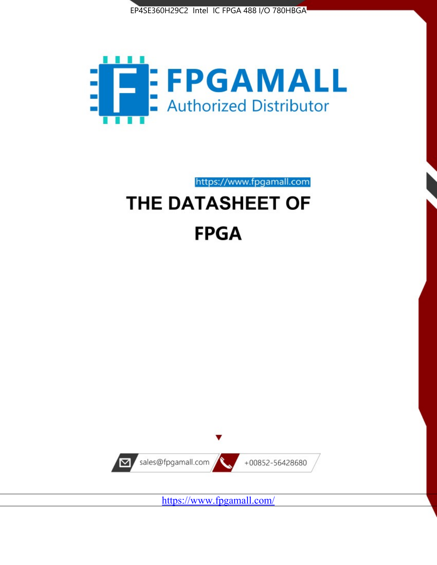



https://www.fpgamall.com

# THE DATASHEET OF **FPGA**



<https://www.fpgamall.com/>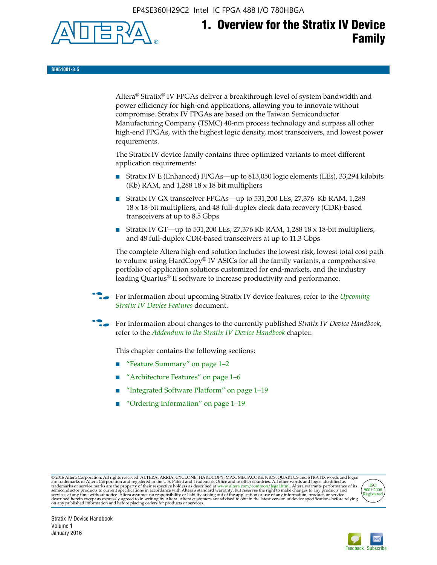EP4SE360H29C2 Intel IC FPGA 488 I/O 780HBGA



**SIV51001-3.5**

Altera® Stratix® IV FPGAs deliver a breakthrough level of system bandwidth and power efficiency for high-end applications, allowing you to innovate without compromise. Stratix IV FPGAs are based on the Taiwan Semiconductor Manufacturing Company (TSMC) 40-nm process technology and surpass all other high-end FPGAs, with the highest logic density, most transceivers, and lowest power requirements.

The Stratix IV device family contains three optimized variants to meet different application requirements:

- Stratix IV E (Enhanced) FPGAs—up to 813,050 logic elements (LEs), 33,294 kilobits (Kb) RAM, and 1,288 18 x 18 bit multipliers
- Stratix IV GX transceiver FPGAs—up to 531,200 LEs, 27,376 Kb RAM, 1,288 18 x 18-bit multipliers, and 48 full-duplex clock data recovery (CDR)-based transceivers at up to 8.5 Gbps
- Stratix IV GT—up to 531,200 LEs, 27,376 Kb RAM, 1,288 18 x 18-bit multipliers, and 48 full-duplex CDR-based transceivers at up to 11.3 Gbps

The complete Altera high-end solution includes the lowest risk, lowest total cost path to volume using HardCopy® IV ASICs for all the family variants, a comprehensive portfolio of application solutions customized for end-markets, and the industry leading Quartus® II software to increase productivity and performance.

f For information about upcoming Stratix IV device features, refer to the *[Upcoming](http://www.altera.com/literature/hb/stratix-iv/uf01001.pdf?GSA_pos=2&WT.oss_r=1&WT.oss=upcoming)  [Stratix IV Device Features](http://www.altera.com/literature/hb/stratix-iv/uf01001.pdf?GSA_pos=2&WT.oss_r=1&WT.oss=upcoming)* document.

f For information about changes to the currently published *Stratix IV Device Handbook*, refer to the *[Addendum to the Stratix IV Device Handbook](http://www.altera.com/literature/hb/stratix-iv/stx4_siv54002.pdf)* chapter.

This chapter contains the following sections:

- "Feature Summary" on page 1–2
- "Architecture Features" on page 1–6
- "Integrated Software Platform" on page 1–19
- "Ordering Information" on page 1–19

@2016 Altera Corporation. All rights reserved. ALTERA, ARRIA, CYCLONE, HARDCOPY, MAX, MEGACORE, NIOS, QUARTUS and STRATIX words and logos are trademarks of Altera Corporation and registered in the U.S. Patent and Trademark



Stratix IV Device Handbook Volume 1 January 2016

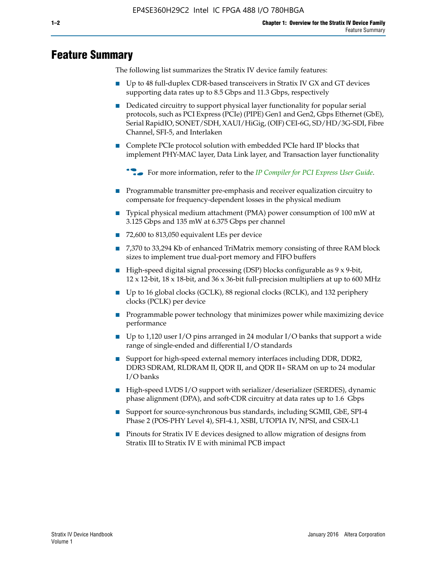# **Feature Summary**

The following list summarizes the Stratix IV device family features:

- Up to 48 full-duplex CDR-based transceivers in Stratix IV GX and GT devices supporting data rates up to 8.5 Gbps and 11.3 Gbps, respectively
- Dedicated circuitry to support physical layer functionality for popular serial protocols, such as PCI Express (PCIe) (PIPE) Gen1 and Gen2, Gbps Ethernet (GbE), Serial RapidIO, SONET/SDH, XAUI/HiGig, (OIF) CEI-6G, SD/HD/3G-SDI, Fibre Channel, SFI-5, and Interlaken
- Complete PCIe protocol solution with embedded PCIe hard IP blocks that implement PHY-MAC layer, Data Link layer, and Transaction layer functionality

**For more information, refer to the** *[IP Compiler for PCI Express User Guide](http://www.altera.com/literature/ug/ug_pci_express.pdf)***.** 

- Programmable transmitter pre-emphasis and receiver equalization circuitry to compensate for frequency-dependent losses in the physical medium
- Typical physical medium attachment (PMA) power consumption of 100 mW at 3.125 Gbps and 135 mW at 6.375 Gbps per channel
- 72,600 to 813,050 equivalent LEs per device
- 7,370 to 33,294 Kb of enhanced TriMatrix memory consisting of three RAM block sizes to implement true dual-port memory and FIFO buffers
- High-speed digital signal processing (DSP) blocks configurable as 9 x 9-bit,  $12 \times 12$ -bit,  $18 \times 18$ -bit, and  $36 \times 36$ -bit full-precision multipliers at up to 600 MHz
- Up to 16 global clocks (GCLK), 88 regional clocks (RCLK), and 132 periphery clocks (PCLK) per device
- Programmable power technology that minimizes power while maximizing device performance
- Up to 1,120 user I/O pins arranged in 24 modular I/O banks that support a wide range of single-ended and differential I/O standards
- Support for high-speed external memory interfaces including DDR, DDR2, DDR3 SDRAM, RLDRAM II, QDR II, and QDR II+ SRAM on up to 24 modular I/O banks
- High-speed LVDS I/O support with serializer/deserializer (SERDES), dynamic phase alignment (DPA), and soft-CDR circuitry at data rates up to 1.6 Gbps
- Support for source-synchronous bus standards, including SGMII, GbE, SPI-4 Phase 2 (POS-PHY Level 4), SFI-4.1, XSBI, UTOPIA IV, NPSI, and CSIX-L1
- Pinouts for Stratix IV E devices designed to allow migration of designs from Stratix III to Stratix IV E with minimal PCB impact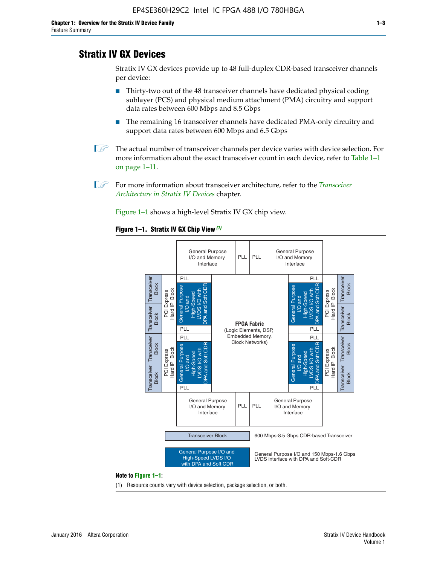# **Stratix IV GX Devices**

Stratix IV GX devices provide up to 48 full-duplex CDR-based transceiver channels per device:

- Thirty-two out of the 48 transceiver channels have dedicated physical coding sublayer (PCS) and physical medium attachment (PMA) circuitry and support data rates between 600 Mbps and 8.5 Gbps
- The remaining 16 transceiver channels have dedicated PMA-only circuitry and support data rates between 600 Mbps and 6.5 Gbps
- **1 The actual number of transceiver channels per device varies with device selection. For** more information about the exact transceiver count in each device, refer to Table 1–1 on page 1–11.
- 1 For more information about transceiver architecture, refer to the *[Transceiver](http://www.altera.com/literature/hb/stratix-iv/stx4_siv52001.pdf)  [Architecture in Stratix IV Devices](http://www.altera.com/literature/hb/stratix-iv/stx4_siv52001.pdf)* chapter.

Figure 1–1 shows a high-level Stratix IV GX chip view.

#### **Figure 1–1. Stratix IV GX Chip View** *(1)*



#### **Note to Figure 1–1:**

(1) Resource counts vary with device selection, package selection, or both.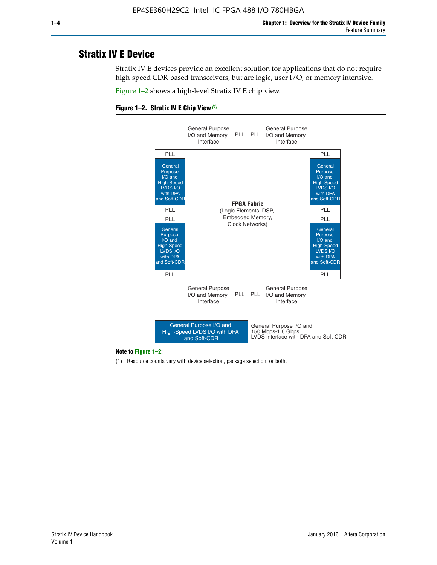# **Stratix IV E Device**

Stratix IV E devices provide an excellent solution for applications that do not require high-speed CDR-based transceivers, but are logic, user I/O, or memory intensive.

Figure 1–2 shows a high-level Stratix IV E chip view.





#### **Note to Figure 1–2:**

(1) Resource counts vary with device selection, package selection, or both.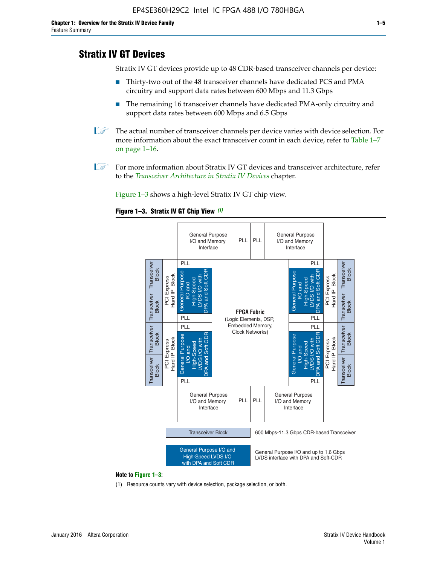# **Stratix IV GT Devices**

Stratix IV GT devices provide up to 48 CDR-based transceiver channels per device:

- Thirty-two out of the 48 transceiver channels have dedicated PCS and PMA circuitry and support data rates between 600 Mbps and 11.3 Gbps
- The remaining 16 transceiver channels have dedicated PMA-only circuitry and support data rates between 600 Mbps and 6.5 Gbps
- **1** The actual number of transceiver channels per device varies with device selection. For more information about the exact transceiver count in each device, refer to Table 1–7 on page 1–16.
- $\mathbb{I}$  For more information about Stratix IV GT devices and transceiver architecture, refer to the *[Transceiver Architecture in Stratix IV Devices](http://www.altera.com/literature/hb/stratix-iv/stx4_siv52001.pdf)* chapter.

Figure 1–3 shows a high-level Stratix IV GT chip view.

#### **Figure 1–3. Stratix IV GT Chip View** *(1)*



(1) Resource counts vary with device selection, package selection, or both.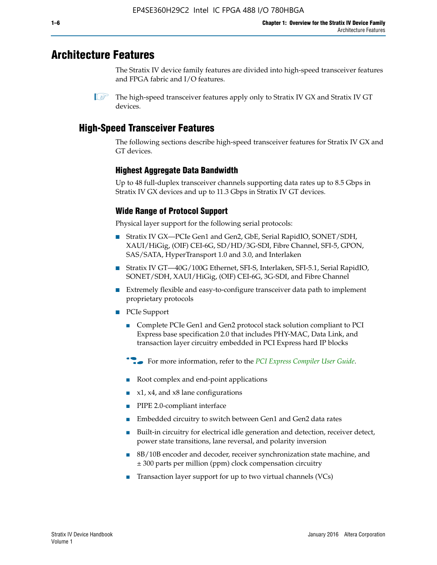# **Architecture Features**

The Stratix IV device family features are divided into high-speed transceiver features and FPGA fabric and I/O features.

# **High-Speed Transceiver Features**

The following sections describe high-speed transceiver features for Stratix IV GX and GT devices.

# **Highest Aggregate Data Bandwidth**

Up to 48 full-duplex transceiver channels supporting data rates up to 8.5 Gbps in Stratix IV GX devices and up to 11.3 Gbps in Stratix IV GT devices.

# **Wide Range of Protocol Support**

Physical layer support for the following serial protocols:

- Stratix IV GX—PCIe Gen1 and Gen2, GbE, Serial RapidIO, SONET/SDH, XAUI/HiGig, (OIF) CEI-6G, SD/HD/3G-SDI, Fibre Channel, SFI-5, GPON, SAS/SATA, HyperTransport 1.0 and 3.0, and Interlaken
- Stratix IV GT—40G/100G Ethernet, SFI-S, Interlaken, SFI-5.1, Serial RapidIO, SONET/SDH, XAUI/HiGig, (OIF) CEI-6G, 3G-SDI, and Fibre Channel
- Extremely flexible and easy-to-configure transceiver data path to implement proprietary protocols
- PCIe Support
	- Complete PCIe Gen1 and Gen2 protocol stack solution compliant to PCI Express base specification 2.0 that includes PHY-MAC, Data Link, and transaction layer circuitry embedded in PCI Express hard IP blocks
	- **For more information, refer to the [PCI Express Compiler User Guide](http://www.altera.com/literature/ug/ug_pci_express.pdf).**
	- Root complex and end-point applications
	- $x1, x4,$  and  $x8$  lane configurations
	- PIPE 2.0-compliant interface
	- Embedded circuitry to switch between Gen1 and Gen2 data rates
	- Built-in circuitry for electrical idle generation and detection, receiver detect, power state transitions, lane reversal, and polarity inversion
	- 8B/10B encoder and decoder, receiver synchronization state machine, and ± 300 parts per million (ppm) clock compensation circuitry
	- Transaction layer support for up to two virtual channels (VCs)

 $\mathbb{I}$  The high-speed transceiver features apply only to Stratix IV GX and Stratix IV GT devices.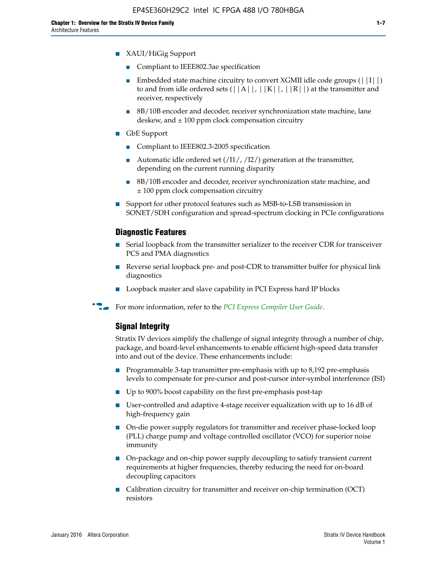- XAUI/HiGig Support
	- Compliant to IEEE802.3ae specification
	- **■** Embedded state machine circuitry to convert XGMII idle code groups  $(|11|)$ to and from idle ordered sets  $(|A|, |K|, |R|)$  at the transmitter and receiver, respectively
	- 8B/10B encoder and decoder, receiver synchronization state machine, lane deskew, and  $\pm 100$  ppm clock compensation circuitry
- GbE Support
	- Compliant to IEEE802.3-2005 specification
	- Automatic idle ordered set  $(111/112/1)$  generation at the transmitter, depending on the current running disparity
	- 8B/10B encoder and decoder, receiver synchronization state machine, and ± 100 ppm clock compensation circuitry
- Support for other protocol features such as MSB-to-LSB transmission in SONET/SDH configuration and spread-spectrum clocking in PCIe configurations

#### **Diagnostic Features**

- Serial loopback from the transmitter serializer to the receiver CDR for transceiver PCS and PMA diagnostics
- Reverse serial loopback pre- and post-CDR to transmitter buffer for physical link diagnostics
- Loopback master and slave capability in PCI Express hard IP blocks
- **For more information, refer to the** *[PCI Express Compiler User Guide](http://www.altera.com/literature/ug/ug_pci_express.pdf)***.**

## **Signal Integrity**

Stratix IV devices simplify the challenge of signal integrity through a number of chip, package, and board-level enhancements to enable efficient high-speed data transfer into and out of the device. These enhancements include:

- Programmable 3-tap transmitter pre-emphasis with up to 8,192 pre-emphasis levels to compensate for pre-cursor and post-cursor inter-symbol interference (ISI)
- Up to 900% boost capability on the first pre-emphasis post-tap
- User-controlled and adaptive 4-stage receiver equalization with up to 16 dB of high-frequency gain
- On-die power supply regulators for transmitter and receiver phase-locked loop (PLL) charge pump and voltage controlled oscillator (VCO) for superior noise immunity
- On-package and on-chip power supply decoupling to satisfy transient current requirements at higher frequencies, thereby reducing the need for on-board decoupling capacitors
- Calibration circuitry for transmitter and receiver on-chip termination (OCT) resistors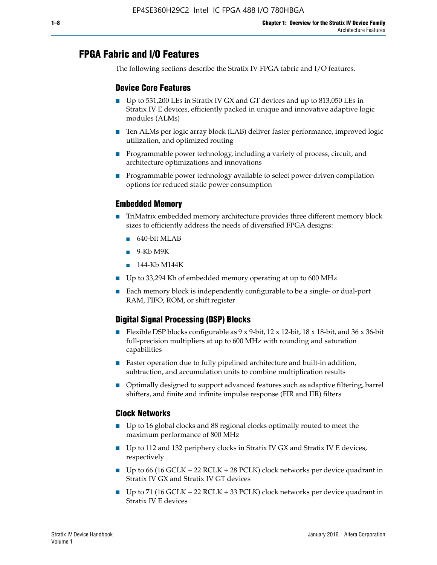# **FPGA Fabric and I/O Features**

The following sections describe the Stratix IV FPGA fabric and I/O features.

## **Device Core Features**

- Up to 531,200 LEs in Stratix IV GX and GT devices and up to 813,050 LEs in Stratix IV E devices, efficiently packed in unique and innovative adaptive logic modules (ALMs)
- Ten ALMs per logic array block (LAB) deliver faster performance, improved logic utilization, and optimized routing
- Programmable power technology, including a variety of process, circuit, and architecture optimizations and innovations
- Programmable power technology available to select power-driven compilation options for reduced static power consumption

## **Embedded Memory**

- TriMatrix embedded memory architecture provides three different memory block sizes to efficiently address the needs of diversified FPGA designs:
	- 640-bit MLAB
	- 9-Kb M9K
	- 144-Kb M144K
- Up to 33,294 Kb of embedded memory operating at up to 600 MHz
- Each memory block is independently configurable to be a single- or dual-port RAM, FIFO, ROM, or shift register

## **Digital Signal Processing (DSP) Blocks**

- Flexible DSP blocks configurable as  $9 \times 9$ -bit,  $12 \times 12$ -bit,  $18 \times 18$ -bit, and  $36 \times 36$ -bit full-precision multipliers at up to 600 MHz with rounding and saturation capabilities
- Faster operation due to fully pipelined architecture and built-in addition, subtraction, and accumulation units to combine multiplication results
- Optimally designed to support advanced features such as adaptive filtering, barrel shifters, and finite and infinite impulse response (FIR and IIR) filters

#### **Clock Networks**

- Up to 16 global clocks and 88 regional clocks optimally routed to meet the maximum performance of 800 MHz
- Up to 112 and 132 periphery clocks in Stratix IV GX and Stratix IV E devices, respectively
- Up to 66 (16 GCLK + 22 RCLK + 28 PCLK) clock networks per device quadrant in Stratix IV GX and Stratix IV GT devices
- Up to 71 (16 GCLK + 22 RCLK + 33 PCLK) clock networks per device quadrant in Stratix IV E devices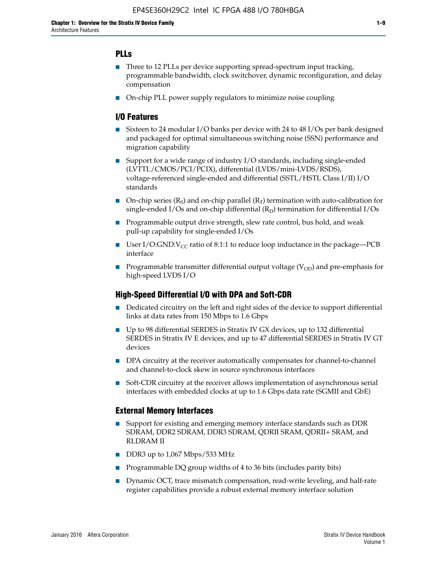## **PLLs**

- Three to 12 PLLs per device supporting spread-spectrum input tracking, programmable bandwidth, clock switchover, dynamic reconfiguration, and delay compensation
- On-chip PLL power supply regulators to minimize noise coupling

## **I/O Features**

- Sixteen to 24 modular I/O banks per device with 24 to 48 I/Os per bank designed and packaged for optimal simultaneous switching noise (SSN) performance and migration capability
- Support for a wide range of industry I/O standards, including single-ended (LVTTL/CMOS/PCI/PCIX), differential (LVDS/mini-LVDS/RSDS), voltage-referenced single-ended and differential (SSTL/HSTL Class I/II) I/O standards
- **O**n-chip series  $(R_S)$  and on-chip parallel  $(R_T)$  termination with auto-calibration for single-ended I/Os and on-chip differential  $(R_D)$  termination for differential I/Os
- Programmable output drive strength, slew rate control, bus hold, and weak pull-up capability for single-ended I/Os
- User I/O:GND: $V_{CC}$  ratio of 8:1:1 to reduce loop inductance in the package—PCB interface
- **■** Programmable transmitter differential output voltage ( $V_{OD}$ ) and pre-emphasis for high-speed LVDS I/O

#### **High-Speed Differential I/O with DPA and Soft-CDR**

- Dedicated circuitry on the left and right sides of the device to support differential links at data rates from 150 Mbps to 1.6 Gbps
- Up to 98 differential SERDES in Stratix IV GX devices, up to 132 differential SERDES in Stratix IV E devices, and up to 47 differential SERDES in Stratix IV GT devices
- DPA circuitry at the receiver automatically compensates for channel-to-channel and channel-to-clock skew in source synchronous interfaces
- Soft-CDR circuitry at the receiver allows implementation of asynchronous serial interfaces with embedded clocks at up to 1.6 Gbps data rate (SGMII and GbE)

#### **External Memory Interfaces**

- Support for existing and emerging memory interface standards such as DDR SDRAM, DDR2 SDRAM, DDR3 SDRAM, QDRII SRAM, QDRII+ SRAM, and RLDRAM II
- DDR3 up to 1,067 Mbps/533 MHz
- Programmable DQ group widths of 4 to 36 bits (includes parity bits)
- Dynamic OCT, trace mismatch compensation, read-write leveling, and half-rate register capabilities provide a robust external memory interface solution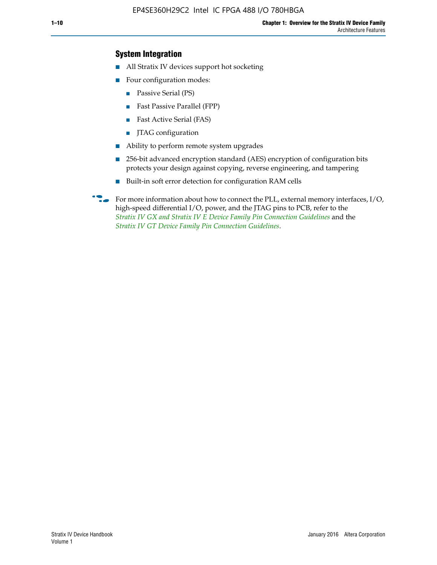## **System Integration**

- All Stratix IV devices support hot socketing
- Four configuration modes:
	- Passive Serial (PS)
	- Fast Passive Parallel (FPP)
	- Fast Active Serial (FAS)
	- JTAG configuration
- Ability to perform remote system upgrades
- 256-bit advanced encryption standard (AES) encryption of configuration bits protects your design against copying, reverse engineering, and tampering
- Built-in soft error detection for configuration RAM cells
- For more information about how to connect the PLL, external memory interfaces,  $I/O$ , high-speed differential I/O, power, and the JTAG pins to PCB, refer to the *[Stratix IV GX and Stratix IV E Device Family Pin Connection Guidelines](http://www.altera.com/literature/dp/stratix4/PCG-01005.pdf)* and the *[Stratix IV GT Device Family Pin Connection Guidelines](http://www.altera.com/literature/dp/stratix4/PCG-01006.pdf)*.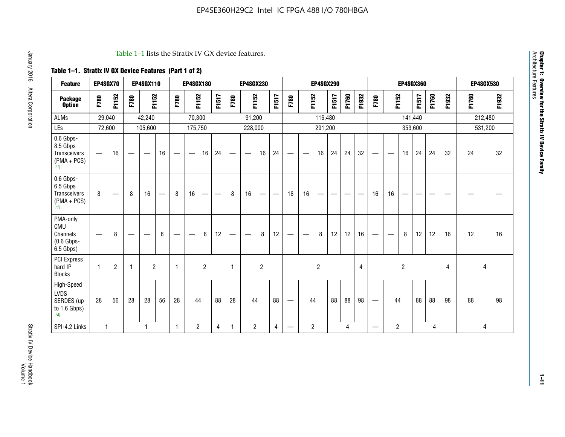#### Table 1–1 lists the Stratix IV GX device features.

## **Table 1–1. Stratix IV GX Device Features (Part 1 of 2)**

| <b>Feature</b>                                                       | EP4SGX70                 |                |              | <b>EP4SGX110</b>         |    |                                | <b>EP4SGX180</b>                 |                |       |                          | <b>EP4SGX230</b>                  |                |                         |                                 |                          | <b>EP4SGX290</b> |       |       |       |                                 |                 |                | <b>EP4SGX360</b> |                |       |       | <b>EP4SGX530</b> |
|----------------------------------------------------------------------|--------------------------|----------------|--------------|--------------------------|----|--------------------------------|----------------------------------|----------------|-------|--------------------------|-----------------------------------|----------------|-------------------------|---------------------------------|--------------------------|------------------|-------|-------|-------|---------------------------------|-----------------|----------------|------------------|----------------|-------|-------|------------------|
| <b>Package</b><br><b>Option</b>                                      | F780                     | F1152          | F780         | F1152                    |    | F780                           | F1152                            |                | F1517 | F780                     | F1152                             |                | F1517                   | F780                            | F1152                    |                  | F1517 | F1760 | F1932 | F780                            | F1152           |                | F1517            | F1760          | F1932 | F1760 | F1932            |
| <b>ALMs</b>                                                          | 29,040                   |                |              | 42,240                   |    |                                | 70,300                           |                |       |                          | 91,200                            |                |                         |                                 |                          | 116,480          |       |       |       |                                 |                 |                | 141,440          |                |       |       | 212,480          |
| LEs                                                                  | 72,600                   |                |              | 105,600                  |    |                                | 175,750                          |                |       |                          | 228,000                           |                |                         |                                 |                          | 291,200          |       |       |       |                                 |                 |                | 353,600          |                |       |       | 531,200          |
| 0.6 Gbps-<br>8.5 Gbps<br><b>Transceivers</b><br>$(PMA + PCs)$<br>(1) | $\overline{\phantom{0}}$ | 16             |              | $\overline{\phantom{m}}$ | 16 | $\qquad \qquad \longleftarrow$ | $\overline{\phantom{m}}$         | 16             | 24    | $\overline{\phantom{0}}$ | $\overbrace{\phantom{123221111}}$ | 16             | 24                      | $\qquad \qquad -$               | $\qquad \qquad$          | 16               | 24    | 24    | 32    | $\qquad \qquad \longleftarrow$  | $\qquad \qquad$ | 16             | 24               | 24             | 32    | 24    | 32               |
| 0.6 Gbps-<br>6.5 Gbps<br>Transceivers<br>$(PMA + PCS)$<br>(1)        | 8                        |                | 8            | 16                       |    | 8                              | 16                               | -              | —     | 8                        | 16                                | —              |                         | 16                              | 16                       | --               |       |       |       | 16                              | 16              | —              |                  |                |       |       |                  |
| PMA-only<br>CMU<br>Channels<br>$(0.6$ Gbps-<br>6.5 Gbps)             | $\hspace{0.05cm}$        | 8              |              |                          | 8  |                                | $\overbrace{\phantom{12322111}}$ | 8              | 12    |                          | $\overline{\phantom{a}}$          | 8              | 12                      | $\hspace{0.1mm}-\hspace{0.1mm}$ | $\overline{\phantom{a}}$ | 8                | 12    | 12    | 16    | $\hspace{0.05cm}$               | $\sim$          | 8              | 12               | 12             | 16    | 12    | 16               |
| PCI Express<br>hard IP<br><b>Blocks</b>                              | 1                        | $\overline{2}$ | $\mathbf{1}$ | $\overline{2}$           |    | $\overline{1}$                 |                                  | $\overline{2}$ |       | $\mathbf{1}$             |                                   | $\overline{c}$ |                         |                                 |                          | $\overline{c}$   |       |       | 4     |                                 |                 | $\overline{2}$ |                  |                | 4     |       | 4                |
| High-Speed<br><b>LVDS</b><br>SERDES (up<br>to 1.6 Gbps)<br>(4)       | 28                       | 56             | 28           | 28                       | 56 | 28                             | 44                               |                | 88    | 28                       | 44                                |                | 88                      | $\hspace{0.1mm}-\hspace{0.1mm}$ | 44                       |                  | 88    | 88    | 98    | $\hspace{0.1mm}-\hspace{0.1mm}$ | 44              |                | 88               | 88             | 98    | 88    | 98               |
| SPI-4.2 Links                                                        | $\mathbf{1}$             |                |              | 1                        |    | $\mathbf{1}$                   | $\overline{2}$                   |                | 4     | $\mathbf{1}$             | $\overline{2}$                    |                | $\overline{\mathbf{4}}$ | $\overline{\phantom{0}}$        | $\overline{2}$           |                  |       | 4     |       | $\hspace{0.05cm}$               | $\overline{2}$  |                |                  | $\overline{4}$ |       |       | 4                |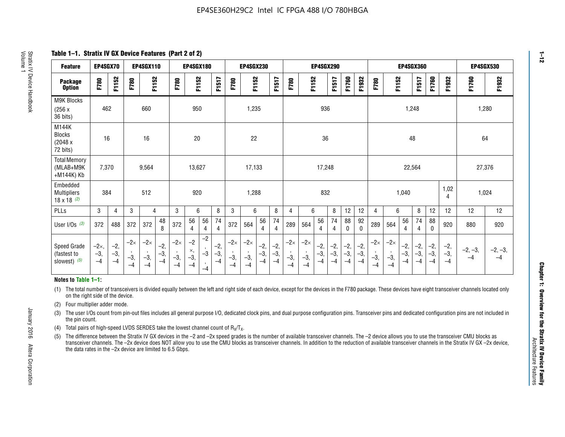**Table 1–1. Stratix IV GX Device Features (Part 2 of 2)**

| <b>Feature</b>                                       | EP4SGX70                |                        |                             | <b>EP4SGX110</b>            |                      |                             | <b>EP4SGX180</b>          |                                              |                        |                             | <b>EP4SGX230</b>            |                        |                      |                             |                             | EP4SGX290              |                      |                        |                        |                             |                             |                        | <b>EP4SGX360</b>     |                        |                        | <b>EP4SGX530</b>  |                   |
|------------------------------------------------------|-------------------------|------------------------|-----------------------------|-----------------------------|----------------------|-----------------------------|---------------------------|----------------------------------------------|------------------------|-----------------------------|-----------------------------|------------------------|----------------------|-----------------------------|-----------------------------|------------------------|----------------------|------------------------|------------------------|-----------------------------|-----------------------------|------------------------|----------------------|------------------------|------------------------|-------------------|-------------------|
| <b>Package</b><br><b>Option</b>                      | F780                    | F1152                  | F780                        | F1152                       |                      | F780                        | F1152                     |                                              | F1517                  | F780                        | F1152                       |                        | F1517                | F780                        | F1152                       |                        | F1517                | F1760                  | F1932                  | F780                        | F1152                       |                        | F1517                | F1760                  | F1932                  | F1760             | F1932             |
| M9K Blocks<br>(256x)<br>36 bits)                     | 462                     |                        |                             | 660                         |                      |                             | 950                       |                                              |                        |                             | 1,235                       |                        |                      |                             |                             | 936                    |                      |                        |                        |                             |                             | 1,248                  |                      |                        |                        | 1,280             |                   |
| M144K<br>Blocks<br>(2048 x<br>72 bits)               | 16                      |                        |                             | 16                          |                      |                             | 20                        |                                              |                        |                             | 22                          |                        |                      |                             |                             | 36                     |                      |                        |                        |                             |                             | 48                     |                      |                        |                        | 64                |                   |
| <b>Total Memory</b><br>(MLAB+M9K<br>+M144K) Kb       | 7,370                   |                        |                             | 9,564                       |                      |                             | 13,627                    |                                              |                        |                             | 17,133                      |                        |                      |                             |                             | 17,248                 |                      |                        |                        |                             |                             | 22,564                 |                      |                        |                        | 27,376            |                   |
| Embedded<br><b>Multipliers</b><br>$18 \times 18$ (2) | 384                     |                        |                             | 512                         |                      |                             | 920                       |                                              |                        |                             | 1,288                       |                        |                      |                             |                             | 832                    |                      |                        |                        |                             |                             | 1,040                  |                      |                        | 1,02<br>4              | 1,024             |                   |
| PLLs                                                 | 3                       | 4                      | 3                           | 4                           |                      | 3                           | 6                         |                                              | 8                      | 3                           | 6                           |                        | 8                    | 4                           | 6                           |                        | 8                    | 12                     | 12                     | 4                           | 6                           |                        | 8                    | 12                     | 12                     | 12                | 12                |
| User I/Os $(3)$                                      | 372                     | 488                    | 372                         | 372                         | 48<br>8              | 372                         | 56<br>4                   | 56<br>4                                      | 74<br>$\overline{4}$   | 372                         | 564                         | 56<br>4                | 74<br>$\overline{4}$ | 289                         | 564                         | 56<br>4                | 74<br>4              | 88<br>0                | 92<br>$\mathbf 0$      | 289                         | 564                         | 56<br>4                | 74<br>4              | 88<br>0                | 920                    | 880               | 920               |
| Speed Grade<br>(fastest to<br>slowest) (5)           | $-2x,$<br>$-3,$<br>$-4$ | $-2,$<br>$-3,$<br>$-4$ | $-2\times$<br>$-3,$<br>$-4$ | $-2\times$<br>$-3,$<br>$-4$ | $-2,$<br>-3,<br>$-4$ | $-2\times$<br>$-3,$<br>$-4$ | $-2$<br>×,<br>$-3,$<br>-4 | $-2$<br>$\,$<br>$-3$<br>$\mathbf{r}$<br>$-4$ | $-2,$<br>$-3,$<br>$-4$ | $-2\times$<br>$-3,$<br>$-4$ | $-2\times$<br>$-3,$<br>$-4$ | $-2,$<br>$-3,$<br>$-4$ | $-2,$<br>-3,<br>$-4$ | $-2\times$<br>$-3,$<br>$-4$ | $-2\times$<br>$-3,$<br>$-4$ | $-2,$<br>$-3,$<br>$-4$ | $-2,$<br>-3,<br>$-4$ | $-2,$<br>$-3,$<br>$-4$ | $-2,$<br>$-3,$<br>$-4$ | $-2\times$<br>$-3,$<br>$-4$ | $-2\times$<br>$-3,$<br>$-4$ | $-2,$<br>$-3,$<br>$-4$ | $-2,$<br>-3,<br>$-4$ | $-2,$<br>$-3,$<br>$-4$ | $-2,$<br>$-3,$<br>$-4$ | $-2, -3,$<br>$-4$ | $-2, -3,$<br>$-4$ |

#### **Notes to Table 1–1:**

(1) The total number of transceivers is divided equally between the left and right side of each device, except for the devices in the F780 package. These devices have eight transceiver channels located only on the right side of the device.

- (2) Four multiplier adder mode.
- (3) The user I/Os count from pin-out files includes all general purpose I/O, dedicated clock pins, and dual purpose configuration pins. Transceiver pins and dedicated configuration pins are not included in the pin count.
- (4) Total pairs of high-speed LVDS SERDES take the lowest channel count of  $R_X/T_X$ .
- (5) The difference between the Stratix IV GX devices in the –2 and –2x speed grades is the number of available transceiver channels. The –2 device allows you to use the transceiver CMU blocks as transceiver channels. The –2x device does NOT allow you to use the CMU blocks as transceiver channels. In addition to the reduction of available transceiver channels in the Stratix IV GX –2x device, the data rates in the –2x device are limited to 6.5 Gbps.

January 2016 Altera Corporation

Altera Corporation

January 2016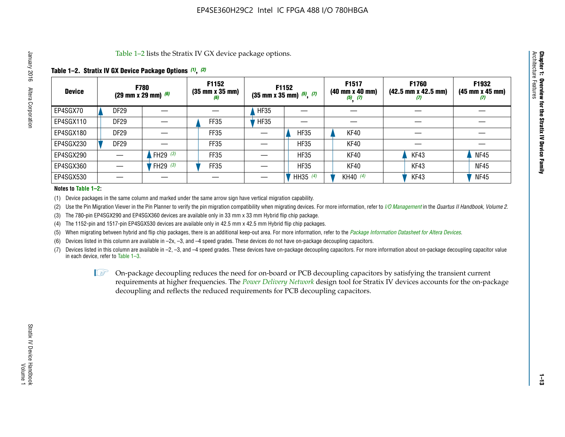Table 1–2 lists the Stratix IV GX device package options.

#### **Table 1–2. Stratix IV GX Device Package Options** *(1)***,** *(2)*

| <b>Device</b> |                  | <b>F780</b><br>(29 mm x 29 mm) $(6)$ | F1152<br>$(35 \, \text{mm} \times 35 \, \text{mm})$<br>(6) |             | <b>F1152</b><br>$(35 \text{ mm} \times 35 \text{ mm})$ $(5)$ , $(7)$ | F1517<br>(40 mm x 40 mm)<br>$(5)$ $(7)$ | <b>F1760</b><br>$(42.5 \text{ mm} \times 42.5 \text{ mm})$<br>Ш | F1932<br>(45 mm x 45 mm)<br>(7) |
|---------------|------------------|--------------------------------------|------------------------------------------------------------|-------------|----------------------------------------------------------------------|-----------------------------------------|-----------------------------------------------------------------|---------------------------------|
| EP4SGX70      | <b>DF29</b>      |                                      |                                                            | <b>HF35</b> |                                                                      |                                         |                                                                 |                                 |
| EP4SGX110     | DF <sub>29</sub> |                                      | FF35                                                       | <b>HF35</b> |                                                                      |                                         |                                                                 |                                 |
| EP4SGX180     | DF29             |                                      | FF35                                                       |             | <b>HF35</b>                                                          | KF40                                    |                                                                 |                                 |
| EP4SGX230     | DF <sub>29</sub> |                                      | FF35                                                       |             | <b>HF35</b>                                                          | KF40                                    |                                                                 |                                 |
| EP4SGX290     |                  | FH29 $(3)$                           | FF35                                                       |             | <b>HF35</b>                                                          | KF40                                    | KF43                                                            | <b>NF45</b>                     |
| EP4SGX360     |                  | FH29 $(3)$                           | FF35                                                       |             | <b>HF35</b>                                                          | KF40                                    | KF43                                                            | <b>NF45</b>                     |
| EP4SGX530     |                  |                                      |                                                            |             | HH35 (4)                                                             | KH40 (4)                                | KF43                                                            | <b>NF45</b>                     |

#### **Notes to Table 1–2:**

(1) Device packages in the same column and marked under the same arrow sign have vertical migration capability.

(2) Use the Pin Migration Viewer in the Pin Planner to verify the pin migration compatibility when migrating devices. For more information, refer to *[I/O Management](http://www.altera.com/literature/hb/qts/qts_qii52013.pdf)* in the *Quartus II Handbook, Volume 2*.

(3) The 780-pin EP4SGX290 and EP4SGX360 devices are available only in 33 mm x 33 mm Hybrid flip chip package.

(4) The 1152-pin and 1517-pin EP4SGX530 devices are available only in 42.5 mm x 42.5 mm Hybrid flip chip packages.

(5) When migrating between hybrid and flip chip packages, there is an additional keep-out area. For more information, refer to the *[Package Information Datasheet for Altera Devices](http://www.altera.com/literature/ds/dspkg.pdf)*.

(6) Devices listed in this column are available in –2x, –3, and –4 speed grades. These devices do not have on-package decoupling capacitors.

(7) Devices listed in this column are available in –2, –3, and –4 speed grades. These devices have on-package decoupling capacitors. For more information about on-package decoupling capacitor value in each device, refer to Table 1–3.

 $\mathbb{L}$ s On-package decoupling reduces the need for on-board or PCB decoupling capacitors by satisfying the transient current requirements at higher frequencies. The *[Power Delivery Network](http://www.altera.com/literature/ug/pdn_tool_stxiv.zip)* design tool for Stratix IV devices accounts for the on-package decoupling and reflects the reduced requirements for PCB decoupling capacitors.

**Chapter 1: Overview for the Stratix IV Device Family**

Chapter 1: Overview for the Stratix IV Device Family<br>Architecture Features

Architecture Features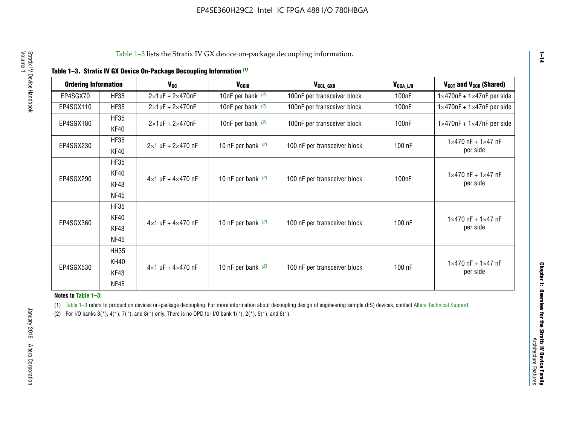|  |  |  | Table 1-3. Stratix IV GX Device On-Package Decoupling Information (1) |
|--|--|--|-----------------------------------------------------------------------|
|--|--|--|-----------------------------------------------------------------------|

| <b>Ordering Information</b> |                     | $V_{cc}$                            | V <sub>CCIO</sub>    | V <sub>CCL_GXB</sub>         | $V_{\texttt{CCA}\_\textsf{L/R}}$ | V <sub>CCT</sub> and V <sub>CCR</sub> (Shared)   |
|-----------------------------|---------------------|-------------------------------------|----------------------|------------------------------|----------------------------------|--------------------------------------------------|
| EP4SGX70                    | <b>HF35</b>         | $2\times1$ uF + $2\times470$ nF     | 10nF per bank $(2)$  | 100nF per transceiver block  | 100 <sub>n</sub> F               | $1\times470$ nF + $1\times47$ nF per side        |
| EP4SGX110                   | <b>HF35</b>         | $2\times1$ uF + $2\times470$ nF     | 10nF per bank $(2)$  | 100nF per transceiver block  | 100 <sub>n</sub> F               | $1\times470$ nF + $1\times47$ nF per side        |
| EP4SGX180                   | <b>HF35</b><br>KF40 | $2\times1$ uF + $2\times470$ nF     | 10nF per bank $(2)$  | 100nF per transceiver block  | 100 <sub>n</sub> F               | $1\times470$ nF + $1\times47$ nF per side        |
| EP4SGX230                   | <b>HF35</b><br>KF40 | $2 \times 1$ uF + $2 \times 470$ nF | 10 nF per bank $(2)$ | 100 nF per transceiver block | 100 nF                           | $1 \times 470$ nF + $1 \times 47$ nF<br>per side |
|                             | <b>HF35</b>         |                                     |                      |                              |                                  |                                                  |
| EP4SGX290                   | KF40<br>KF43        | $4\times1$ uF + $4\times470$ nF     | 10 nF per bank $(2)$ | 100 nF per transceiver block | 100 <sub>n</sub> F               | $1 \times 470$ nF + $1 \times 47$ nF<br>per side |
|                             | <b>NF45</b>         |                                     |                      |                              |                                  |                                                  |
|                             | <b>HF35</b>         |                                     |                      |                              |                                  |                                                  |
| EP4SGX360                   | KF40                | $4 \times 1$ uF + $4 \times 470$ nF | 10 nF per bank $(2)$ | 100 nF per transceiver block | 100 nF                           | $1 \times 470$ nF + $1 \times 47$ nF             |
|                             | KF43                |                                     |                      |                              |                                  | per side                                         |
|                             | <b>NF45</b>         |                                     |                      |                              |                                  |                                                  |
|                             | <b>HH35</b>         |                                     |                      |                              |                                  |                                                  |
|                             | KH40                |                                     |                      |                              |                                  | $1 \times 470$ nF + $1 \times 47$ nF             |
| EP4SGX530                   | KF43                | $4\times1$ uF + $4\times470$ nF     | 10 nF per bank $(2)$ | 100 nF per transceiver block | 100 nF                           | per side                                         |
|                             | <b>NF45</b>         |                                     |                      |                              |                                  |                                                  |

**Notes to Table 1–3:**

(1) Table 1-3 refers to production devices on-package decoupling. For more information about decoupling design of engineering sample (ES) devices, contact [Altera Technical Support](http://mysupport.altera.com/eservice/login.asp).

(2) For I/O banks  $3(*)$ ,  $4(*)$ ,  $7(*)$ , and  $8(*)$  only. There is no OPD for I/O bank  $1(*)$ ,  $2(*)$ ,  $5(*)$ , and  $6(*)$ .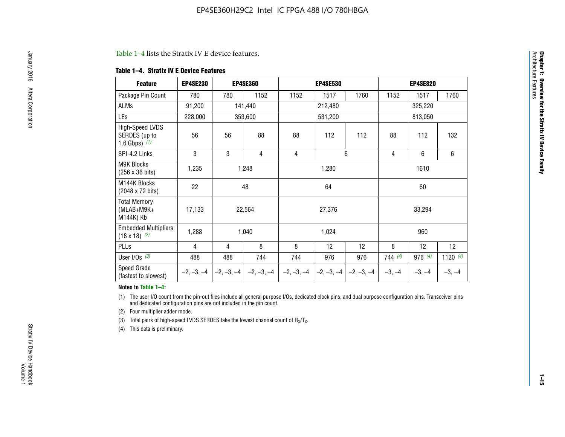#### Table 1–4 lists the Stratix IV E device features.

#### **Table 1–4. Stratix IV E Device Features**

| <b>Feature</b>                                      | <b>EP4SE230</b> |     | <b>EP4SE360</b>                        |              | <b>EP4SE530</b> |              | <b>EP4SE820</b> |          |            |
|-----------------------------------------------------|-----------------|-----|----------------------------------------|--------------|-----------------|--------------|-----------------|----------|------------|
| Package Pin Count                                   | 780             | 780 | 1152                                   | 1152         | 1517            | 1760         | 1152            | 1517     | 1760       |
| ALMs                                                | 91,200          |     | 141,440                                |              | 212,480         |              |                 | 325,220  |            |
| LEs                                                 | 228,000         |     | 353,600                                |              | 531,200         |              |                 | 813,050  |            |
| High-Speed LVDS<br>SERDES (up to<br>1.6 Gbps) $(1)$ | 56              | 56  | 88                                     | 88           | 112             | 112          | 88              | 112      | 132        |
| SPI-4.2 Links                                       | 3               | 3   | 4                                      | 4            |                 | 6            | 4               | 6        | 6          |
| <b>M9K Blocks</b><br>(256 x 36 bits)                | 1,235           |     | 1,248                                  |              | 1,280           |              |                 | 1610     |            |
| M144K Blocks<br>(2048 x 72 bits)                    | 22              |     | 48                                     |              | 64              |              |                 | 60       |            |
| <b>Total Memory</b><br>$(MLAB+M9K+$<br>M144K) Kb    | 17,133          |     | 22,564                                 |              | 27,376          |              |                 | 33,294   |            |
| <b>Embedded Multipliers</b><br>$(18 \times 18)$ (2) | 1,288           |     | 1,040                                  |              | 1,024           |              |                 | 960      |            |
| PLLs                                                | 4               | 4   | 8                                      | 8            | 12              | 12           | 8               | 12       | 12         |
| User I/Os $(3)$                                     | 488             | 488 | 744                                    | 744          | 976             | 976          | 744(4)          | 976 (4)  | 1120 $(4)$ |
| Speed Grade<br>(fastest to slowest)                 |                 |     | $-2, -3, -4$ $-2, -3, -4$ $-2, -3, -4$ | $-2, -3, -4$ | $-2, -3, -4$    | $-2, -3, -4$ | $-3, -4$        | $-3, -4$ | $-3, -4$   |

#### **Notes to Table 1–4:**

(1) The user I/O count from the pin-out files include all general purpose I/Os, dedicated clock pins, and dual purpose configuration pins. Transceiver pins and dedicated configuration pins are not included in the pin count.

(2) Four multiplier adder mode.

(3) Total pairs of high-speed LVDS SERDES take the lowest channel count of  $R_X/T_X$ .

(4) This data is preliminary.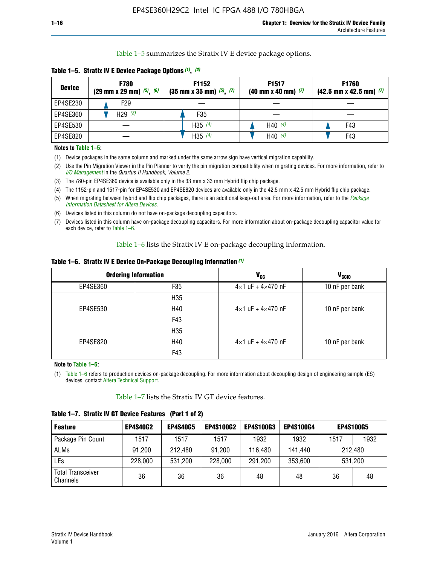Table 1–5 summarizes the Stratix IV E device package options.

| <b>Device</b> | <b>F780</b><br>$(29 \text{ mm} \times 29 \text{ mm})$ $(5)$ , $(6)$ | F1152<br>$(35 \text{ mm} \times 35 \text{ mm})$ $(5)$ , $(7)$ | F <sub>1517</sub><br>$(40 \text{ mm} \times 40 \text{ mm})$ (7) | <b>F1760</b><br>$(42.5$ mm x 42.5 mm) $(7)$ |
|---------------|---------------------------------------------------------------------|---------------------------------------------------------------|-----------------------------------------------------------------|---------------------------------------------|
| EP4SE230      | F29                                                                 |                                                               |                                                                 |                                             |
| EP4SE360      | H <sub>29</sub> $(3)$                                               | F35                                                           |                                                                 |                                             |
| EP4SE530      |                                                                     | $H35^{(4)}$                                                   | H40 $(4)$                                                       | F43                                         |
| EP4SE820      |                                                                     | H35 $(4)$                                                     | H40 $(4)$                                                       | F43                                         |

**Table 1–5. Stratix IV E Device Package Options** *(1)***,** *(2)*

#### **Notes to Table 1–5:**

(1) Device packages in the same column and marked under the same arrow sign have vertical migration capability.

(2) Use the Pin Migration Viewer in the Pin Planner to verify the pin migration compatibility when migrating devices. For more information, refer to *[I/O Management](http://www.altera.com/literature/hb/qts/qts_qii52013.pdf)* in the *Quartus II Handbook, Volume 2*.

(3) The 780-pin EP4SE360 device is available only in the 33 mm x 33 mm Hybrid flip chip package.

(4) The 1152-pin and 1517-pin for EP4SE530 and EP4SE820 devices are available only in the 42.5 mm x 42.5 mm Hybrid flip chip package.

(5) When migrating between hybrid and flip chip packages, there is an additional keep-out area. For more information, refer to the *[Package](http://www.altera.com/literature/ds/dspkg.pdf)  [Information Datasheet for Altera Devices](http://www.altera.com/literature/ds/dspkg.pdf)*.

(6) Devices listed in this column do not have on-package decoupling capacitors.

(7) Devices listed in this column have on-package decoupling capacitors. For more information about on-package decoupling capacitor value for each device, refer to Table 1–6.

Table 1–6 lists the Stratix IV E on-package decoupling information.

| Table 1–6. Stratix IV E Device On-Package Decoupling Information (1) |  |  |  |  |  |
|----------------------------------------------------------------------|--|--|--|--|--|
|----------------------------------------------------------------------|--|--|--|--|--|

|          | <b>Ordering Information</b> | <b>V<sub>cc</sub></b>               | <b>V<sub>CCIO</sub></b> |
|----------|-----------------------------|-------------------------------------|-------------------------|
| EP4SE360 | F35                         | $4 \times 1$ uF + $4 \times 470$ nF | 10 nF per bank          |
|          | H <sub>35</sub>             |                                     |                         |
| EP4SE530 | H40                         | $4 \times 1$ uF + $4 \times 470$ nF | 10 nF per bank          |
|          | F43                         |                                     |                         |
|          | H <sub>35</sub>             |                                     |                         |
| EP4SE820 | H40                         | $4 \times 1$ uF + $4 \times 470$ nF | 10 nF per bank          |
|          | F43                         |                                     |                         |

**Note to Table 1–6:**

(1) Table 1–6 refers to production devices on-package decoupling. For more information about decoupling design of engineering sample (ES) devices, contact [Altera Technical Support](http://mysupport.altera.com/eservice/login.asp).

Table 1–7 lists the Stratix IV GT device features.

| <b>Feature</b>                       | <b>EP4S40G2</b> | <b>EP4S40G5</b> | <b>EP4S100G2</b> | <b>EP4S100G3</b> | <b>EP4S100G4</b> |      | <b>EP4S100G5</b> |
|--------------------------------------|-----------------|-----------------|------------------|------------------|------------------|------|------------------|
| Package Pin Count                    | 1517            | 1517            | 1517             | 1932             | 1932             | 1517 | 1932             |
| <b>ALMs</b>                          | 91,200          | 212,480         | 91,200           | 116,480          | 141,440          |      | 212.480          |
| LEs                                  | 228,000         | 531,200         | 228,000          | 291,200          | 353,600          |      | 531,200          |
| <b>Total Transceiver</b><br>Channels | 36              | 36              | 36               | 48               | 48               | 36   | 48               |

**Table 1–7. Stratix IV GT Device Features (Part 1 of 2)**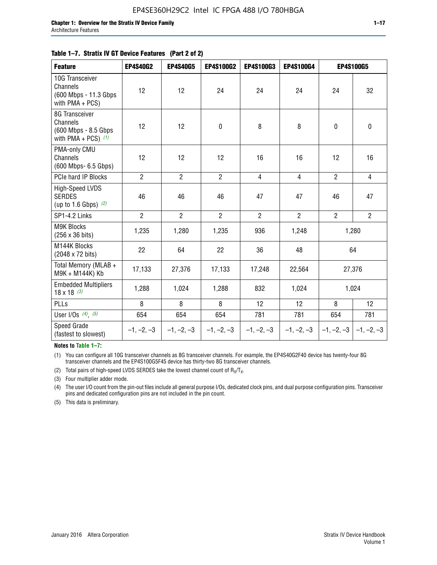|  | Table 1–7. Stratix IV GT Device Features (Part 2 of 2) |  |
|--|--------------------------------------------------------|--|
|--|--------------------------------------------------------|--|

| <b>Feature</b>                                                              | <b>EP4S40G2</b> | <b>EP4S40G5</b> | <b>EP4S100G2</b> | <b>EP4S100G3</b> | EP4S100G4      | <b>EP4S100G5</b>          |                |
|-----------------------------------------------------------------------------|-----------------|-----------------|------------------|------------------|----------------|---------------------------|----------------|
| 10G Transceiver<br>Channels<br>(600 Mbps - 11.3 Gbps)<br>with $PMA + PCS$ ) | 12              | 12              | 24               | 24               | 24             | 24                        | 32             |
| 8G Transceiver<br>Channels<br>(600 Mbps - 8.5 Gbps<br>with PMA + PCS) $(1)$ | 12              | 12              | $\pmb{0}$        | 8                | 8              | $\mathbf 0$               | 0              |
| PMA-only CMU<br>Channels<br>(600 Mbps- 6.5 Gbps)                            | 12              | 12              | 12               | 16               | 16             | 12                        | 16             |
| PCIe hard IP Blocks                                                         | $\overline{2}$  | $\overline{2}$  | $\overline{2}$   | $\overline{4}$   | $\overline{4}$ | $\overline{2}$            | $\overline{4}$ |
| High-Speed LVDS<br><b>SERDES</b><br>(up to 1.6 Gbps) $(2)$                  | 46              | 46              | 46               | 47               | 47             | 46                        | 47             |
| SP1-4.2 Links                                                               | $\overline{2}$  | $\overline{2}$  | $\overline{2}$   | $\overline{2}$   | $\overline{2}$ | $\overline{2}$            | $\overline{2}$ |
| <b>M9K Blocks</b><br>(256 x 36 bits)                                        | 1,235           | 1,280           | 1,235            | 936              | 1,248          |                           | 1,280          |
| M144K Blocks<br>(2048 x 72 bits)                                            | 22              | 64              | 22               | 36               | 48             | 64                        |                |
| Total Memory (MLAB +<br>M9K + M144K) Kb                                     | 17,133          | 27,376          | 17,133           | 17,248           | 22,564         |                           | 27,376         |
| <b>Embedded Multipliers</b><br>$18 \times 18^{(3)}$                         | 1,288           | 1,024           | 1,288            | 832              | 1,024          | 1,024                     |                |
| PLLs                                                                        | 8               | 8               | 8                | 12               | 12             | 8                         | 12             |
| User I/Os $(4)$ , $(5)$                                                     | 654             | 654             | 654              | 781              | 781            | 654                       | 781            |
| <b>Speed Grade</b><br>(fastest to slowest)                                  | $-1, -2, -3$    | $-1, -2, -3$    | $-1, -2, -3$     | $-1, -2, -3$     | $-1, -2, -3$   | $-1, -2, -3$ $-1, -2, -3$ |                |

**Notes to Table 1–7:**

(1) You can configure all 10G transceiver channels as 8G transceiver channels. For example, the EP4S40G2F40 device has twenty-four 8G transceiver channels and the EP4S100G5F45 device has thirty-two 8G transceiver channels.

(2) Total pairs of high-speed LVDS SERDES take the lowest channel count of  $R_X/T_X$ .

(3) Four multiplier adder mode.

(4) The user I/O count from the pin-out files include all general purpose I/Os, dedicated clock pins, and dual purpose configuration pins. Transceiver pins and dedicated configuration pins are not included in the pin count.

(5) This data is preliminary.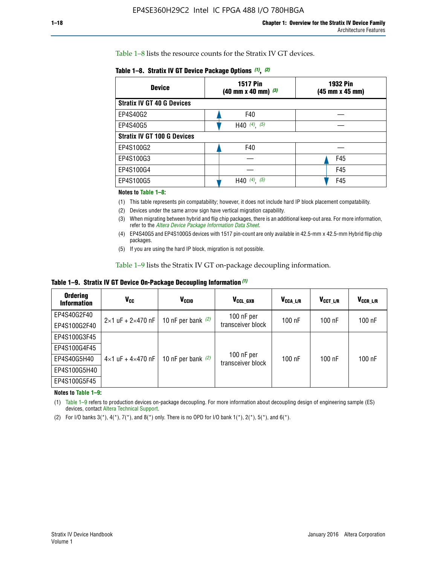Table 1–8 lists the resource counts for the Stratix IV GT devices.

| <b>Device</b>                      | <b>1517 Pin</b><br>$(40 \text{ mm} \times 40 \text{ mm})$ $(3)$ | <b>1932 Pin</b><br>(45 mm x 45 mm) |  |
|------------------------------------|-----------------------------------------------------------------|------------------------------------|--|
| <b>Stratix IV GT 40 G Devices</b>  |                                                                 |                                    |  |
| EP4S40G2                           | F40                                                             |                                    |  |
| EP4S40G5                           | H40 $(4)$ , $(5)$                                               |                                    |  |
| <b>Stratix IV GT 100 G Devices</b> |                                                                 |                                    |  |
| EP4S100G2                          | F40                                                             |                                    |  |
| EP4S100G3                          |                                                                 | F45                                |  |
| EP4S100G4                          |                                                                 | F45                                |  |
| EP4S100G5                          | (5)<br>$(4)$ ,<br>H40                                           | F45                                |  |

#### **Notes to Table 1–8:**

(1) This table represents pin compatability; however, it does not include hard IP block placement compatability.

- (2) Devices under the same arrow sign have vertical migration capability.
- (3) When migrating between hybrid and flip chip packages, there is an additional keep-out area. For more information, refer to the *[Altera Device Package Information Data Sheet](http://www.altera.com/literature/ds/dspkg.pdf)*.
- (4) EP4S40G5 and EP4S100G5 devices with 1517 pin-count are only available in 42.5-mm x 42.5-mm Hybrid flip chip packages.
- (5) If you are using the hard IP block, migration is not possible.

Table 1–9 lists the Stratix IV GT on-package decoupling information.

**Table 1–9. Stratix IV GT Device On-Package Decoupling Information** *(1)*

| <b>Ordering</b><br><b>Information</b> | Vcc                                 | <b>V<sub>CCIO</sub></b> | V <sub>CCL GXB</sub>            | V <sub>CCA L/R</sub> | V <sub>CCT L/R</sub> | $V_{CCR\_L/R}$ |
|---------------------------------------|-------------------------------------|-------------------------|---------------------------------|----------------------|----------------------|----------------|
| EP4S40G2F40                           | $2 \times 1$ uF + $2 \times 470$ nF | 10 nF per bank $(2)$    | 100 nF per<br>transceiver block | $100$ nF             | $100$ nF             | 100 nF         |
| EP4S100G2F40                          |                                     |                         |                                 |                      |                      |                |
| EP4S100G3F45                          |                                     | 10 nF per bank $(2)$    | 100 nF per<br>transceiver block | $100$ nF             | $100$ nF             | $100$ nF       |
| EP4S100G4F45                          |                                     |                         |                                 |                      |                      |                |
| EP4S40G5H40                           | $4\times1$ uF + $4\times470$ nF     |                         |                                 |                      |                      |                |
| EP4S100G5H40                          |                                     |                         |                                 |                      |                      |                |
| EP4S100G5F45                          |                                     |                         |                                 |                      |                      |                |

**Notes to Table 1–9:**

(1) Table 1–9 refers to production devices on-package decoupling. For more information about decoupling design of engineering sample (ES) devices, contact [Altera Technical Support](http://mysupport.altera.com/eservice/login.asp).

(2) For I/O banks  $3(*)$ ,  $4(*)$ ,  $7(*)$ , and  $8(*)$  only. There is no OPD for I/O bank  $1(*)$ ,  $2(*)$ ,  $5(*)$ , and  $6(*)$ .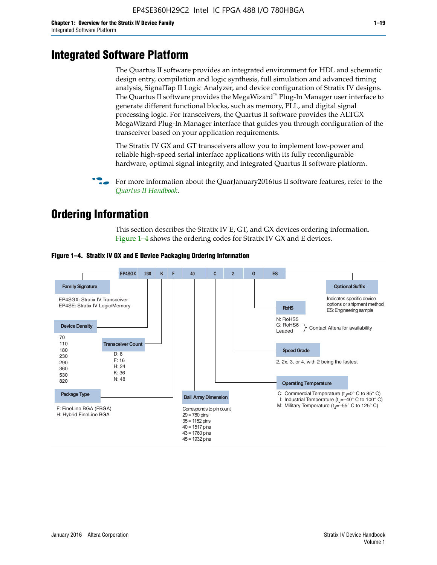# **Integrated Software Platform**

The Quartus II software provides an integrated environment for HDL and schematic design entry, compilation and logic synthesis, full simulation and advanced timing analysis, SignalTap II Logic Analyzer, and device configuration of Stratix IV designs. The Quartus II software provides the MegaWizard<sup> $M$ </sup> Plug-In Manager user interface to generate different functional blocks, such as memory, PLL, and digital signal processing logic. For transceivers, the Quartus II software provides the ALTGX MegaWizard Plug-In Manager interface that guides you through configuration of the transceiver based on your application requirements.

The Stratix IV GX and GT transceivers allow you to implement low-power and reliable high-speed serial interface applications with its fully reconfigurable hardware, optimal signal integrity, and integrated Quartus II software platform.

For more information about the QuarJanuary2016tus II software features, refer to the *[Quartus II Handbook](http://www.altera.com/literature/lit-qts.jsp)*.

# **Ordering Information**

This section describes the Stratix IV E, GT, and GX devices ordering information. Figure 1–4 shows the ordering codes for Stratix IV GX and E devices.



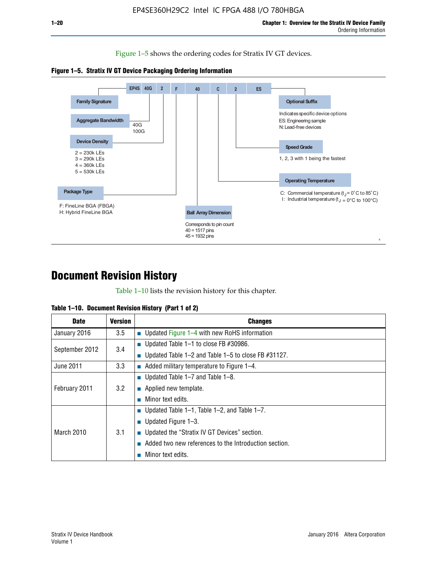Figure 1–5 shows the ordering codes for Stratix IV GT devices.





# **Document Revision History**

Table 1–10 lists the revision history for this chapter.

| <b>Date</b>       | <b>Version</b> | <b>Changes</b>                                           |
|-------------------|----------------|----------------------------------------------------------|
| January 2016      | 3.5            | ■ Updated Figure $1-4$ with new RoHS information         |
| September 2012    | 3.4            | ■ Updated Table 1–1 to close FB $#30986$ .               |
|                   |                | ■ Updated Table 1–2 and Table 1–5 to close FB $#31127$ . |
| June 2011         | 3.3            | $\blacksquare$ Added military temperature to Figure 1–4. |
| February 2011     | 3.2            | ■ Updated Table $1-7$ and Table $1-8$ .                  |
|                   |                | $\blacksquare$ Applied new template.                     |
|                   |                | Minor text edits.                                        |
| <b>March 2010</b> | 3.1            | ■ Updated Table 1–1, Table 1–2, and Table 1–7.           |
|                   |                | ■ Updated Figure $1-3$ .                                 |
|                   |                | ■ Updated the "Stratix IV GT Devices" section.           |
|                   |                | Added two new references to the Introduction section.    |
|                   |                | Minor text edits.                                        |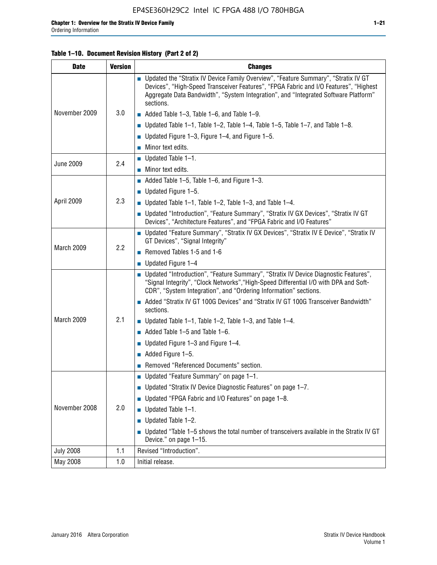## **Table 1–10. Document Revision History (Part 2 of 2)**

| <b>Date</b>      | <b>Version</b> | <b>Changes</b>                                                                                                                                                                                                                                                                    |  |
|------------------|----------------|-----------------------------------------------------------------------------------------------------------------------------------------------------------------------------------------------------------------------------------------------------------------------------------|--|
| November 2009    | 3.0            | ■ Updated the "Stratix IV Device Family Overview", "Feature Summary", "Stratix IV GT<br>Devices", "High-Speed Transceiver Features", "FPGA Fabric and I/O Features", "Highest<br>Aggregate Data Bandwidth", "System Integration", and "Integrated Software Platform"<br>sections. |  |
|                  |                | $\blacksquare$ Added Table 1-3, Table 1-6, and Table 1-9.                                                                                                                                                                                                                         |  |
|                  |                | $\blacksquare$ Updated Table 1-1, Table 1-2, Table 1-4, Table 1-5, Table 1-7, and Table 1-8.                                                                                                                                                                                      |  |
|                  |                | ■ Updated Figure 1–3, Figure 1–4, and Figure 1–5.                                                                                                                                                                                                                                 |  |
|                  |                | $\blacksquare$ Minor text edits.                                                                                                                                                                                                                                                  |  |
|                  | 2.4            | $\blacksquare$ Updated Table 1-1.                                                                                                                                                                                                                                                 |  |
| <b>June 2009</b> |                | Minor text edits.                                                                                                                                                                                                                                                                 |  |
|                  |                | $\blacksquare$ Added Table 1–5, Table 1–6, and Figure 1–3.                                                                                                                                                                                                                        |  |
|                  |                | $\blacksquare$ Updated Figure 1-5.                                                                                                                                                                                                                                                |  |
| April 2009       | 2.3            | Updated Table $1-1$ , Table $1-2$ , Table $1-3$ , and Table $1-4$ .                                                                                                                                                                                                               |  |
|                  |                | ■ Updated "Introduction", "Feature Summary", "Stratix IV GX Devices", "Stratix IV GT<br>Devices", "Architecture Features", and "FPGA Fabric and I/O Features"                                                                                                                     |  |
| March 2009       | 2.2            | ■ Updated "Feature Summary", "Stratix IV GX Devices", "Stratix IV E Device", "Stratix IV<br>GT Devices", "Signal Integrity"                                                                                                                                                       |  |
|                  |                | Removed Tables 1-5 and 1-6                                                                                                                                                                                                                                                        |  |
|                  |                | Updated Figure 1-4                                                                                                                                                                                                                                                                |  |
|                  |                | ■ Updated "Introduction", "Feature Summary", "Stratix IV Device Diagnostic Features",<br>"Signal Integrity", "Clock Networks", "High-Speed Differential I/O with DPA and Soft-<br>CDR", "System Integration", and "Ordering Information" sections.                                |  |
|                  |                | Added "Stratix IV GT 100G Devices" and "Stratix IV GT 100G Transceiver Bandwidth"<br>sections.                                                                                                                                                                                    |  |
| March 2009       | 2.1            | <b>Updated Table 1–1, Table 1–2, Table 1–3, and Table 1–4.</b>                                                                                                                                                                                                                    |  |
|                  |                | $\blacksquare$ Added Table 1-5 and Table 1-6.                                                                                                                                                                                                                                     |  |
|                  |                | ■ Updated Figure $1-3$ and Figure $1-4$ .                                                                                                                                                                                                                                         |  |
|                  |                | $\blacksquare$ Added Figure 1-5.                                                                                                                                                                                                                                                  |  |
|                  |                | Removed "Referenced Documents" section.                                                                                                                                                                                                                                           |  |
|                  |                | Updated "Feature Summary" on page 1-1.                                                                                                                                                                                                                                            |  |
| November 2008    | 2.0            | ■ Updated "Stratix IV Device Diagnostic Features" on page 1-7.                                                                                                                                                                                                                    |  |
|                  |                | Updated "FPGA Fabric and I/O Features" on page 1-8.                                                                                                                                                                                                                               |  |
|                  |                | $\blacksquare$ Updated Table 1-1.                                                                                                                                                                                                                                                 |  |
|                  |                | Updated Table 1-2.                                                                                                                                                                                                                                                                |  |
|                  |                | Updated "Table 1-5 shows the total number of transceivers available in the Stratix IV GT<br>Device." on page 1-15.                                                                                                                                                                |  |
| <b>July 2008</b> | 1.1            | Revised "Introduction".                                                                                                                                                                                                                                                           |  |
| May 2008         | 1.0            | Initial release.                                                                                                                                                                                                                                                                  |  |